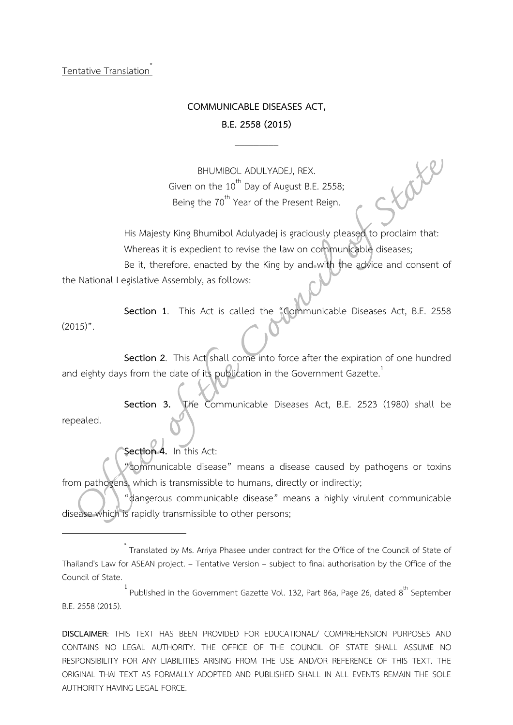Tentative Translation\*

#### **COMMUNICABLE DISEASES ACT,**

# **B.E. 2558 (2015)**  $\overline{\phantom{a}}$

BHUMIBOL ADULYADEJ, REX. Given on the  $10^{th}$  Day of August B.E. 2558; Being the 70<sup>th</sup> Year of the Present Reign.

His Majesty King Bhumibol Adulyadej is graciously pleased to proclaim that: Whereas it is expedient to revise the law on communicable diseases;

Slat

Be it, therefore, enacted by the King by and with the advice and consent of the National Legislative Assembly, as follows:

**Section 1**. This Act is called the "Communicable Diseases Act, B.E. 2558  $(2015)"$ 

**Section 2**. This Act shall come into force after the expiration of one hundred and eighty days from the date of its publication in the Government Gazette.<sup>1</sup>

**Section 3.** The Communicable Diseases Act, B.E. 2523 (1980) shall be repealed.

# **Section 4.** In this Act:

"communicable disease" means a disease caused by pathogens or toxins from pathogens, which is transmissible to humans, directly or indirectly;

"dangerous communicable disease" means a highly virulent communicable disease which is rapidly transmissible to other persons;

 $^{1}$  Published in the Government Gazette Vol. 132, Part 86a, Page 26, dated  $8^{\text{th}}$  September B.E. 2558 (2015).

 <sup>\*</sup> Translated by Ms. Arriya Phasee under contract for the Office of the Council of State of Thailand's Law for ASEAN project. – Tentative Version – subject to final authorisation by the Office of the Council of State.

**DISCLAIMER**: THIS TEXT HAS BEEN PROVIDED FOR EDUCATIONAL/ COMPREHENSION PURPOSES AND CONTAINS NO LEGAL AUTHORITY. THE OFFICE OF THE COUNCIL OF STATE SHALL ASSUME NO RESPONSIBILITY FOR ANY LIABILITIES ARISING FROM THE USE AND/OR REFERENCE OF THIS TEXT. THE ORIGINAL THAI TEXT AS FORMALLY ADOPTED AND PUBLISHED SHALL IN ALL EVENTS REMAIN THE SOLE AUTHORITY HAVING LEGAL FORCE.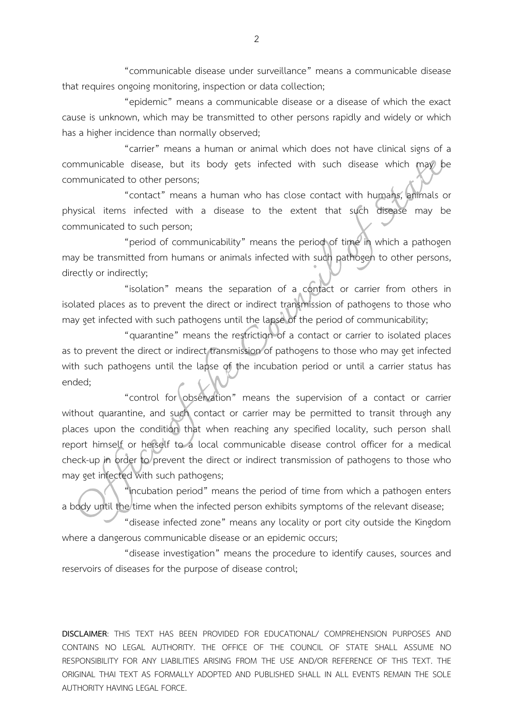"communicable disease under surveillance" means a communicable disease that requires ongoing monitoring, inspection or data collection;

"epidemic" means a communicable disease or a disease of which the exact cause is unknown, which may be transmitted to other persons rapidly and widely or which has a higher incidence than normally observed;

"carrier" means a human or animal which does not have clinical signs of a communicable disease, but its body gets infected with such disease which may be communicated to other persons;

"contact" means a human who has close contact with humans, animals or physical items infected with a disease to the extent that such disease may be communicated to such person;

"period of communicability" means the period of time in which a pathogen may be transmitted from humans or animals infected with such pathogen to other persons, directly or indirectly;

"isolation" means the separation of a contact or carrier from others in isolated places as to prevent the direct or indirect transmission of pathogens to those who may get infected with such pathogens until the lapse of the period of communicability;

"quarantine" means the restriction of a contact or carrier to isolated places as to prevent the direct or indirect transmission of pathogens to those who may get infected with such pathogens until the lapse of the incubation period or until a carrier status has ended;

"control for observation" means the supervision of a contact or carrier without quarantine, and such contact or carrier may be permitted to transit through any places upon the condition that when reaching any specified locality, such person shall report himself or herself to a local communicable disease control officer for a medical check-up in order to prevent the direct or indirect transmission of pathogens to those who may get infected with such pathogens;

"incubation period" means the period of time from which a pathogen enters a body until the time when the infected person exhibits symptoms of the relevant disease;

"disease infected zone" means any locality or port city outside the Kingdom where a dangerous communicable disease or an epidemic occurs;

"disease investigation" means the procedure to identify causes, sources and reservoirs of diseases for the purpose of disease control;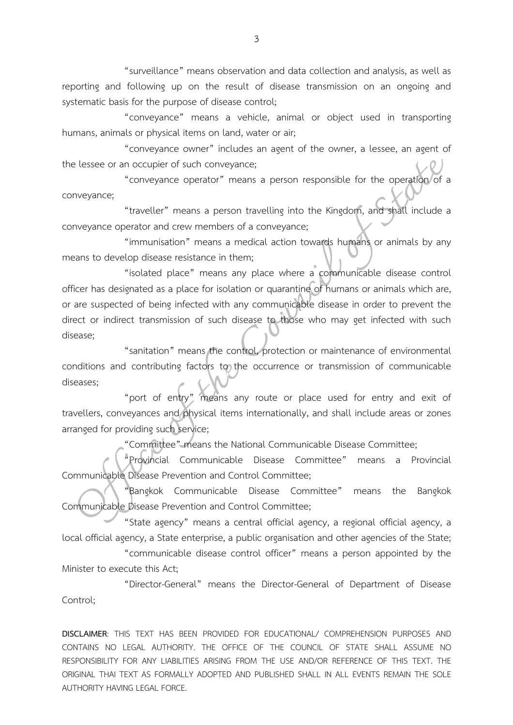"surveillance" means observation and data collection and analysis, as well as reporting and following up on the result of disease transmission on an ongoing and systematic basis for the purpose of disease control;

"conveyance" means a vehicle, animal or object used in transporting humans, animals or physical items on land, water or air;

"conveyance owner" includes an agent of the owner, a lessee, an agent of the lessee or an occupier of such conveyance;

"conveyance operator" means a person responsible for the operation of a conveyance;

"traveller" means a person travelling into the Kingdom, and shall include a conveyance operator and crew members of a conveyance;

"immunisation" means a medical action towards humans or animals by any means to develop disease resistance in them;

"isolated place" means any place where a communicable disease control officer has designated as a place for isolation or quarantine of humans or animals which are, or are suspected of being infected with any communicable disease in order to prevent the direct or indirect transmission of such disease to those who may get infected with such disease;

"sanitation" means the control, protection or maintenance of environmental conditions and contributing factors to the occurrence or transmission of communicable diseases;

"port of entry" means any route or place used for entry and exit of travellers, conveyances and physical items internationally, and shall include areas or zones arranged for providing such service;

"Committee" means the National Communicable Disease Committee;

"Provincial Communicable Disease Committee" means a Provincial Communicable Disease Prevention and Control Committee;

"Bangkok Communicable Disease Committee" means the Bangkok Communicable Disease Prevention and Control Committee;

"State agency" means a central official agency, a regional official agency, a local official agency, a State enterprise, a public organisation and other agencies of the State;

"communicable disease control officer" means a person appointed by the Minister to execute this Act;

"Director-General" means the Director-General of Department of Disease Control;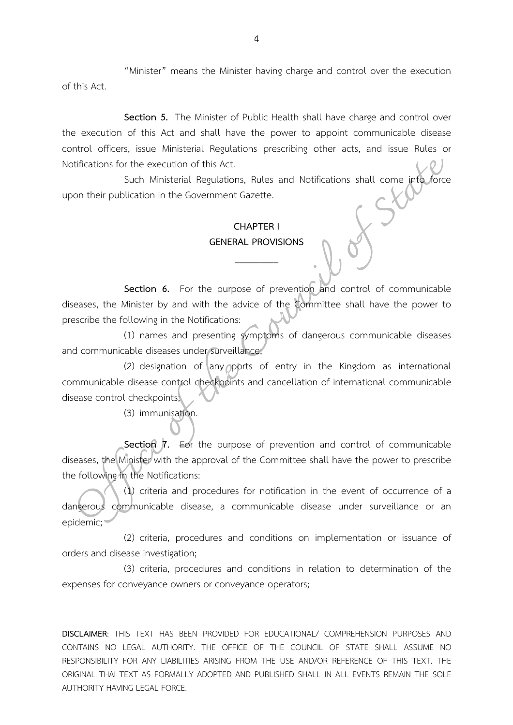"Minister" means the Minister having charge and control over the execution of this Act.

**Section 5.** The Minister of Public Health shall have charge and control over the execution of this Act and shall have the power to appoint communicable disease control officers, issue Ministerial Regulations prescribing other acts, and issue Rules or Notifications for the execution of this Act.

Such Ministerial Regulations, Rules and Notifications shall come into force upon their publication in the Government Gazette.

### **CHAPTER I GENERAL PROVISIONS**

 $\overline{\phantom{a}}$ 

**Section 6.** For the purpose of prevention and control of communicable diseases, the Minister by and with the advice of the Committee shall have the power to prescribe the following in the Notifications:

(1) names and presenting symptoms of dangerous communicable diseases and communicable diseases under surveillance;

(2) designation of any ports of entry in the Kingdom as international communicable disease control checkpoints and cancellation of international communicable disease control checkpoints;

(3) immunisation.

Section 7. For the purpose of prevention and control of communicable diseases, the Minister with the approval of the Committee shall have the power to prescribe the following in the Notifications:

(1) criteria and procedures for notification in the event of occurrence of a dangerous communicable disease, a communicable disease under surveillance or an epidemic;

(2) criteria, procedures and conditions on implementation or issuance of orders and disease investigation;

(3) criteria, procedures and conditions in relation to determination of the expenses for conveyance owners or conveyance operators;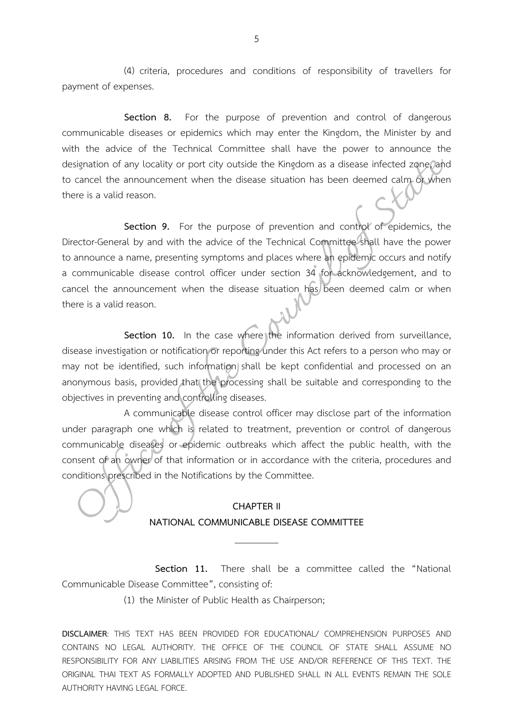(4) criteria, procedures and conditions of responsibility of travellers for payment of expenses.

**Section 8.** For the purpose of prevention and control of dangerous communicable diseases or epidemics which may enter the Kingdom, the Minister by and with the advice of the Technical Committee shall have the power to announce the designation of any locality or port city outside the Kingdom as a disease infected zone, and to cancel the announcement when the disease situation has been deemed calm or when there is a valid reason.

**Section 9.** For the purpose of prevention and control of epidemics, the Director-General by and with the advice of the Technical Committee shall have the power to announce a name, presenting symptoms and places where an epidemic occurs and notify a communicable disease control officer under section 34 for acknowledgement, and to cancel the announcement when the disease situation has been deemed calm or when there is a valid reason.

**Section 10.** In the case where the information derived from surveillance, disease investigation or notification or reporting under this Act refers to a person who may or may not be identified, such information shall be kept confidential and processed on an anonymous basis, provided that the processing shall be suitable and corresponding to the objectives in preventing and controlling diseases.

A communicable disease control officer may disclose part of the information under paragraph one which is related to treatment, prevention or control of dangerous communicable diseases or epidemic outbreaks which affect the public health, with the consent of an owner of that information or in accordance with the criteria, procedures and conditions prescribed in the Notifications by the Committee.



#### **CHAPTER II**

# **NATIONAL COMMUNICABLE DISEASE COMMITTEE**  $\overline{\phantom{a}}$

**Section 11.** There shall be a committee called the "National Communicable Disease Committee", consisting of:

(1) the Minister of Public Health as Chairperson;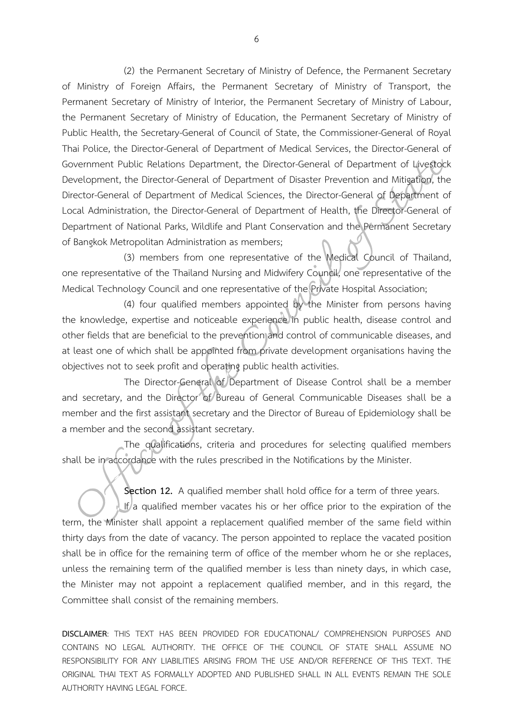(2) the Permanent Secretary of Ministry of Defence, the Permanent Secretary of Ministry of Foreign Affairs, the Permanent Secretary of Ministry of Transport, the Permanent Secretary of Ministry of Interior, the Permanent Secretary of Ministry of Labour, the Permanent Secretary of Ministry of Education, the Permanent Secretary of Ministry of Public Health, the Secretary-General of Council of State, the Commissioner-General of Royal Thai Police, the Director-General of Department of Medical Services, the Director-General of Government Public Relations Department, the Director-General of Department of Livestock Development, the Director-General of Department of Disaster Prevention and Mitigation, the Director-General of Department of Medical Sciences, the Director-General of Department of Local Administration, the Director-General of Department of Health, the Director-General of Department of National Parks, Wildlife and Plant Conservation and the Permanent Secretary of Bangkok Metropolitan Administration as members;

(3) members from one representative of the Medical Council of Thailand, one representative of the Thailand Nursing and Midwifery Council, one representative of the Medical Technology Council and one representative of the Private Hospital Association;

(4) four qualified members appointed by the Minister from persons having the knowledge, expertise and noticeable experience in public health, disease control and other fields that are beneficial to the prevention and control of communicable diseases, and at least one of which shall be appointed from private development organisations having the objectives not to seek profit and operating public health activities.

The Director-General of Department of Disease Control shall be a member and secretary, and the Director of Bureau of General Communicable Diseases shall be a member and the first assistant secretary and the Director of Bureau of Epidemiology shall be a member and the second assistant secretary.

The qualifications, criteria and procedures for selecting qualified members shall be in accordance with the rules prescribed in the Notifications by the Minister.

**Section 12.** A qualified member shall hold office for a term of three years. If a qualified member vacates his or her office prior to the expiration of the term, the Minister shall appoint a replacement qualified member of the same field within thirty days from the date of vacancy. The person appointed to replace the vacated position shall be in office for the remaining term of office of the member whom he or she replaces, unless the remaining term of the qualified member is less than ninety days, in which case, the Minister may not appoint a replacement qualified member, and in this regard, the Committee shall consist of the remaining members.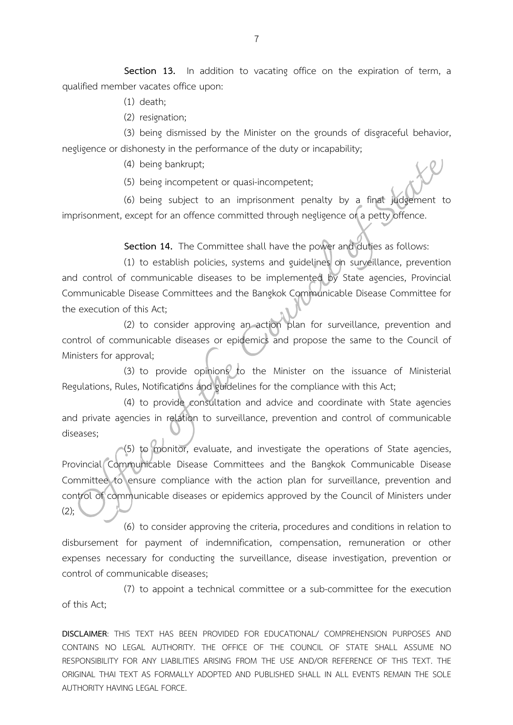Section 13. In addition to vacating office on the expiration of term, a qualified member vacates office upon:

- (1) death;
- (2) resignation;

(3) being dismissed by the Minister on the grounds of disgraceful behavior, negligence or dishonesty in the performance of the duty or incapability;

- (4) being bankrupt;
- (5) being incompetent or quasi-incompetent;

(6) being subject to an imprisonment penalty by a final judgement to imprisonment, except for an offence committed through negligence or a petty offence.

**Section 14.** The Committee shall have the power and duties as follows:

(1) to establish policies, systems and guidelines on surveillance, prevention and control of communicable diseases to be implemented by State agencies, Provincial Communicable Disease Committees and the Bangkok Communicable Disease Committee for the execution of this Act;

(2) to consider approving an action plan for surveillance, prevention and control of communicable diseases or epidemics and propose the same to the Council of Ministers for approval;

(3) to provide opinions to the Minister on the issuance of Ministerial Regulations, Rules, Notifications and guidelines for the compliance with this Act;

(4) to provide consultation and advice and coordinate with State agencies and private agencies in relation to surveillance, prevention and control of communicable diseases;

(5) to monitor, evaluate, and investigate the operations of State agencies, Provincial Communicable Disease Committees and the Bangkok Communicable Disease Committee to ensure compliance with the action plan for surveillance, prevention and control of communicable diseases or epidemics approved by the Council of Ministers under  $(2)$ ;

(6) to consider approving the criteria, procedures and conditions in relation to disbursement for payment of indemnification, compensation, remuneration or other expenses necessary for conducting the surveillance, disease investigation, prevention or control of communicable diseases;

(7) to appoint a technical committee or a sub-committee for the execution of this Act;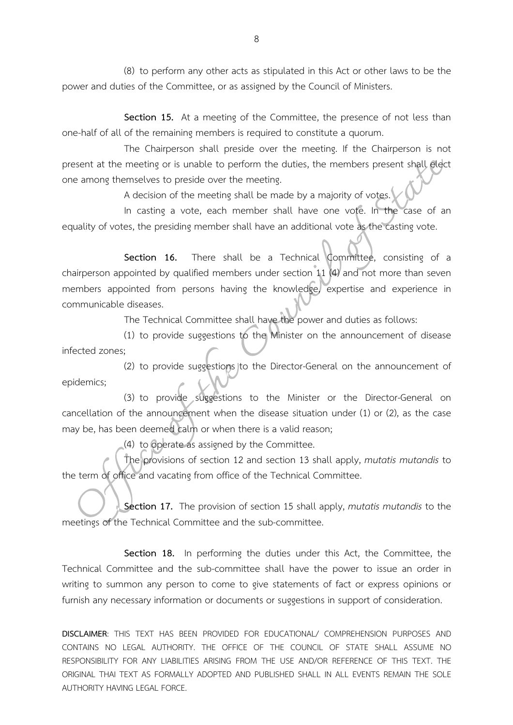(8) to perform any other acts as stipulated in this Act or other laws to be the power and duties of the Committee, or as assigned by the Council of Ministers.

**Section 15.** At a meeting of the Committee, the presence of not less than one-half of all of the remaining members is required to constitute a quorum.

The Chairperson shall preside over the meeting. If the Chairperson is not present at the meeting or is unable to perform the duties, the members present shall elect one among themselves to preside over the meeting.

A decision of the meeting shall be made by a majority of votes.

In casting a vote, each member shall have one vote. In the case of an equality of votes, the presiding member shall have an additional vote as the casting vote.

**Section 16.** There shall be a Technical Committee, consisting of a chairperson appointed by qualified members under section 11 (4) and not more than seven members appointed from persons having the knowledge, expertise and experience in communicable diseases.

The Technical Committee shall have the power and duties as follows:

(1) to provide suggestions to the Minister on the announcement of disease infected zones;

(2) to provide suggestions to the Director-General on the announcement of epidemics;

(3) to provide suggestions to the Minister or the Director-General on cancellation of the announcement when the disease situation under (1) or (2), as the case may be, has been deemed calm or when there is a valid reason;

(4) to operate as assigned by the Committee.

The provisions of section 12 and section 13 shall apply, *mutatis mutandis* to the term of office and vacating from office of the Technical Committee.

**Section 17.** The provision of section 15 shall apply, *mutatis mutandis* to the meetings of the Technical Committee and the sub-committee.

**Section 18.** In performing the duties under this Act, the Committee, the Technical Committee and the sub-committee shall have the power to issue an order in writing to summon any person to come to give statements of fact or express opinions or furnish any necessary information or documents or suggestions in support of consideration.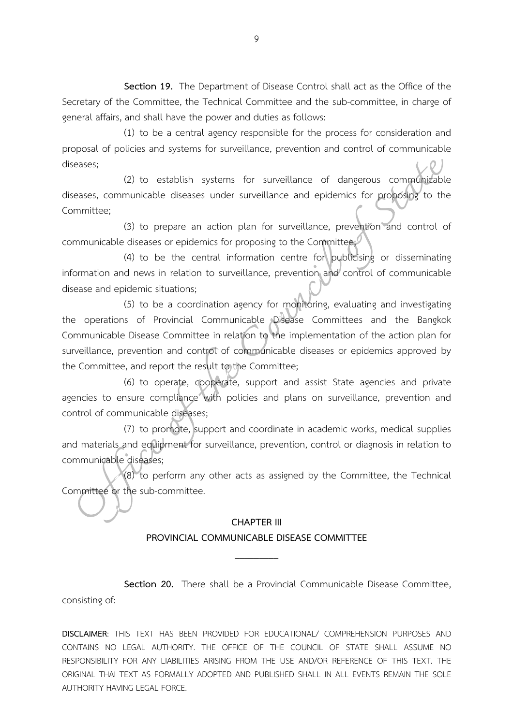**Section 19.** The Department of Disease Control shall act as the Office of the Secretary of the Committee, the Technical Committee and the sub-committee, in charge of general affairs, and shall have the power and duties as follows:

(1) to be a central agency responsible for the process for consideration and proposal of policies and systems for surveillance, prevention and control of communicable diseases;

(2) to establish systems for surveillance of dangerous communicable diseases, communicable diseases under surveillance and epidemics for proposing to the Committee;

(3) to prepare an action plan for surveillance, prevention and control of communicable diseases or epidemics for proposing to the Committee;

(4) to be the central information centre for publicising or disseminating information and news in relation to surveillance, prevention and control of communicable disease and epidemic situations;

(5) to be a coordination agency for monitoring, evaluating and investigating the operations of Provincial Communicable Disease Committees and the Bangkok Communicable Disease Committee in relation to the implementation of the action plan for surveillance, prevention and control of communicable diseases or epidemics approved by the Committee, and report the result to the Committee;

(6) to operate, cooperate, support and assist State agencies and private agencies to ensure compliance with policies and plans on surveillance, prevention and control of communicable diseases;

(7) to promote, support and coordinate in academic works, medical supplies and materials and equipment for surveillance, prevention, control or diagnosis in relation to communicable diseases;

(8) to perform any other acts as assigned by the Committee, the Technical Committee or the sub-committee.

#### **CHAPTER III**

# **PROVINCIAL COMMUNICABLE DISEASE COMMITTEE**  $\overline{\phantom{a}}$

**Section 20.** There shall be a Provincial Communicable Disease Committee, consisting of:

**DISCLAIMER**: THIS TEXT HAS BEEN PROVIDED FOR EDUCATIONAL/ COMPREHENSION PURPOSES AND CONTAINS NO LEGAL AUTHORITY. THE OFFICE OF THE COUNCIL OF STATE SHALL ASSUME NO RESPONSIBILITY FOR ANY LIABILITIES ARISING FROM THE USE AND/OR REFERENCE OF THIS TEXT. THE ORIGINAL THAI TEXT AS FORMALLY ADOPTED AND PUBLISHED SHALL IN ALL EVENTS REMAIN THE SOLE AUTHORITY HAVING LEGAL FORCE.

9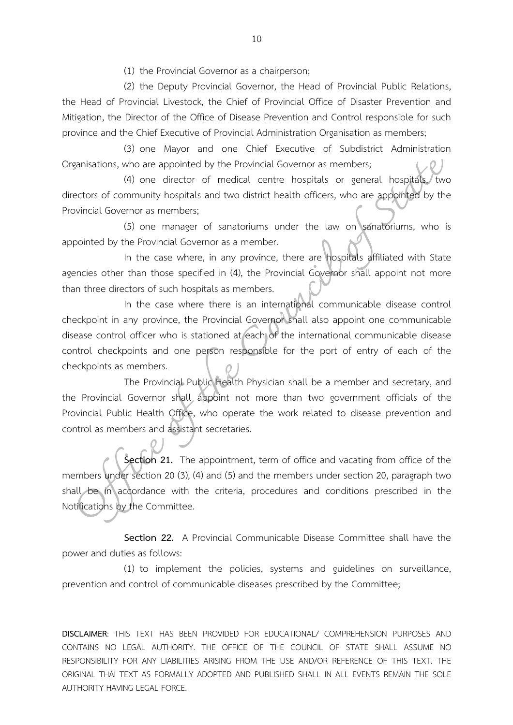(1) the Provincial Governor as a chairperson;

(2) the Deputy Provincial Governor, the Head of Provincial Public Relations, the Head of Provincial Livestock, the Chief of Provincial Office of Disaster Prevention and Mitigation, the Director of the Office of Disease Prevention and Control responsible for such province and the Chief Executive of Provincial Administration Organisation as members;

(3) one Mayor and one Chief Executive of Subdistrict Administration Organisations, who are appointed by the Provincial Governor as members;

(4) one director of medical centre hospitals or general hospitals, two directors of community hospitals and two district health officers, who are appointed by the Provincial Governor as members;

(5) one manager of sanatoriums under the law on sanatoriums, who is appointed by the Provincial Governor as a member.

In the case where, in any province, there are hospitals affiliated with State agencies other than those specified in (4), the Provincial Governor shall appoint not more than three directors of such hospitals as members.

In the case where there is an international communicable disease control checkpoint in any province, the Provincial Governor shall also appoint one communicable disease control officer who is stationed at each of the international communicable disease control checkpoints and one person responsible for the port of entry of each of the checkpoints as members.

The Provincial Public Health Physician shall be a member and secretary, and the Provincial Governor shall appoint not more than two government officials of the Provincial Public Health Office, who operate the work related to disease prevention and control as members and assistant secretaries.

**Section 21.** The appointment, term of office and vacating from office of the members under section 20 (3), (4) and (5) and the members under section 20, paragraph two shall be in accordance with the criteria, procedures and conditions prescribed in the Notifications by the Committee.

**Section 22.** A Provincial Communicable Disease Committee shall have the power and duties as follows:

(1) to implement the policies, systems and guidelines on surveillance, prevention and control of communicable diseases prescribed by the Committee;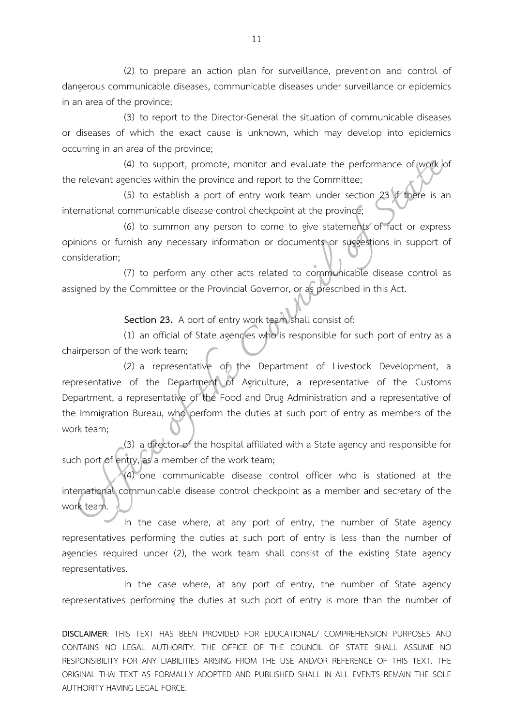(2) to prepare an action plan for surveillance, prevention and control of dangerous communicable diseases, communicable diseases under surveillance or epidemics in an area of the province;

(3) to report to the Director-General the situation of communicable diseases or diseases of which the exact cause is unknown, which may develop into epidemics occurring in an area of the province;

(4) to support, promote, monitor and evaluate the performance of work of the relevant agencies within the province and report to the Committee;

(5) to establish a port of entry work team under section 23 if there is an international communicable disease control checkpoint at the province;

(6) to summon any person to come to give statements of fact or express opinions or furnish any necessary information or documents or suggestions in support of consideration;

(7) to perform any other acts related to communicable disease control as assigned by the Committee or the Provincial Governor, or as prescribed in this Act.

**Section 23.** A port of entry work team shall consist of:

(1) an official of State agencies who is responsible for such port of entry as a chairperson of the work team;

(2) a representative of the Department of Livestock Development, a representative of the Department of Agriculture, a representative of the Customs Department, a representative of the Food and Drug Administration and a representative of the Immigration Bureau, who perform the duties at such port of entry as members of the work team;

(3) a director of the hospital affiliated with a State agency and responsible for such port of entry, as a member of the work team;

(4) one communicable disease control officer who is stationed at the international communicable disease control checkpoint as a member and secretary of the work team.

In the case where, at any port of entry, the number of State agency representatives performing the duties at such port of entry is less than the number of agencies required under (2), the work team shall consist of the existing State agency representatives.

In the case where, at any port of entry, the number of State agency representatives performing the duties at such port of entry is more than the number of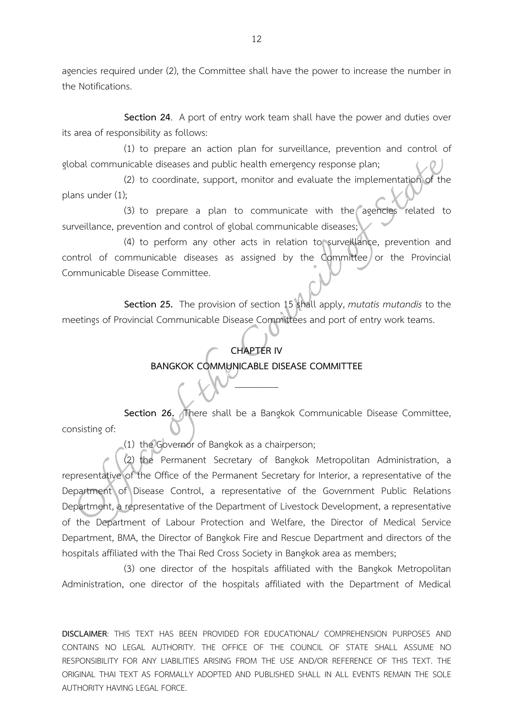agencies required under (2), the Committee shall have the power to increase the number in the Notifications.

**Section 24**. A port of entry work team shall have the power and duties over its area of responsibility as follows:

(1) to prepare an action plan for surveillance, prevention and control of global communicable diseases and public health emergency response plan;

(2) to coordinate, support, monitor and evaluate the implementation of the plans under (1);

(3) to prepare a plan to communicate with the agencies related to surveillance, prevention and control of global communicable diseases;

(4) to perform any other acts in relation to surveillance, prevention and control of communicable diseases as assigned by the Committee or the Provincial Communicable Disease Committee.

**Section 25.** The provision of section 15 shall apply, *mutatis mutandis* to the meetings of Provincial Communicable Disease Committees and port of entry work teams.

## **CHAPTER IV BANGKOK COMMUNICABLE DISEASE COMMITTEE**

 $\overline{\phantom{a}}$ 

Section 26. There shall be a Bangkok Communicable Disease Committee, consisting of:

(1) the Governor of Bangkok as a chairperson;

(2) the Permanent Secretary of Bangkok Metropolitan Administration, a representative of the Office of the Permanent Secretary for Interior, a representative of the Department of Disease Control, a representative of the Government Public Relations Department, a representative of the Department of Livestock Development, a representative of the Department of Labour Protection and Welfare, the Director of Medical Service Department, BMA, the Director of Bangkok Fire and Rescue Department and directors of the hospitals affiliated with the Thai Red Cross Society in Bangkok area as members;

(3) one director of the hospitals affiliated with the Bangkok Metropolitan Administration, one director of the hospitals affiliated with the Department of Medical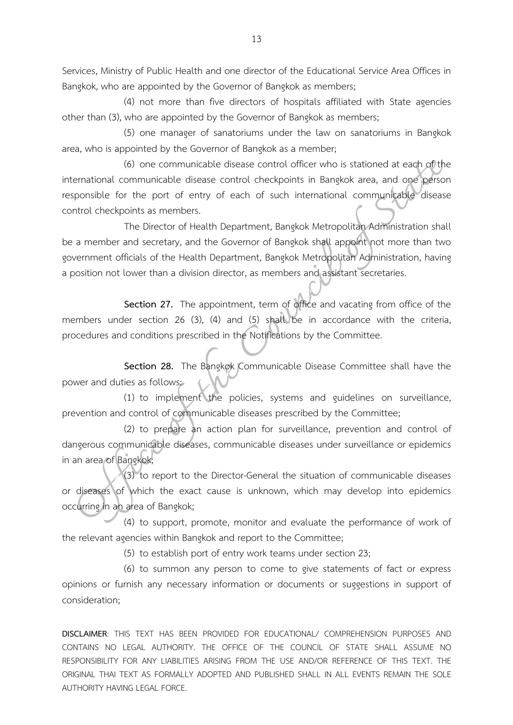Services, Ministry of Public Health and one director of the Educational Service Area Offices in Bangkok, who are appointed by the Governor of Bangkok as members;

(4) not more than five directors of hospitals affiliated with State agencies other than (3), who are appointed by the Governor of Bangkok as members;

(5) one manager of sanatoriums under the law on sanatoriums in Bangkok area, who is appointed by the Governor of Bangkok as a member;

(6) one communicable disease control officer who is stationed at each of the international communicable disease control checkpoints in Bangkok area, and one person responsible for the port of entry of each of such international communicable disease control checkpoints as members.

The Director of Health Department, Bangkok Metropolitan Administration shall be a member and secretary, and the Governor of Bangkok shall appoint not more than two government officials of the Health Department, Bangkok Metropolitan Administration, having a position not lower than a division director, as members and assistant secretaries.

**Section 27.** The appointment, term of office and vacating from office of the members under section 26 (3), (4) and (5) shall be in accordance with the criteria, procedures and conditions prescribed in the Notifications by the Committee.

**Section 28.** The Bangkok Communicable Disease Committee shall have the power and duties as follows:

(1) to implement the policies, systems and guidelines on surveillance, prevention and control of communicable diseases prescribed by the Committee;

(2) to prepare an action plan for surveillance, prevention and control of dangerous communicable diseases, communicable diseases under surveillance or epidemics in an area of Bangkok;

(3) to report to the Director-General the situation of communicable diseases or diseases of which the exact cause is unknown, which may develop into epidemics occurring in an area of Bangkok;

(4) to support, promote, monitor and evaluate the performance of work of the relevant agencies within Bangkok and report to the Committee;

(5) to establish port of entry work teams under section 23;

(6) to summon any person to come to give statements of fact or express opinions or furnish any necessary information or documents or suggestions in support of consideration;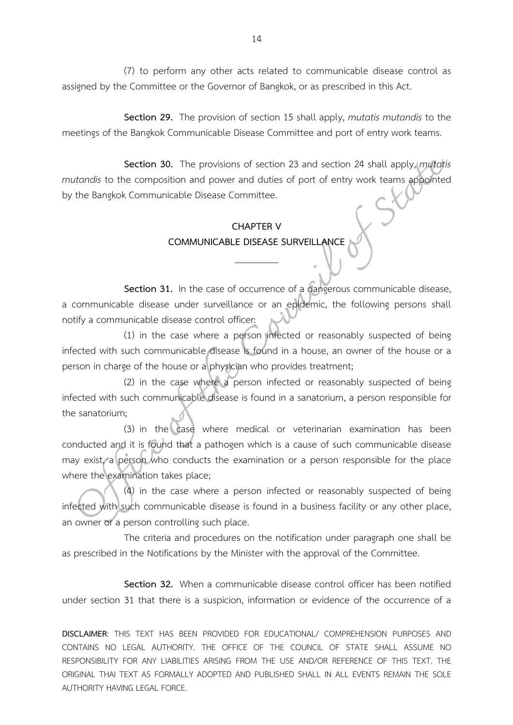(7) to perform any other acts related to communicable disease control as assigned by the Committee or the Governor of Bangkok, or as prescribed in this Act.

**Section 29.** The provision of section 15 shall apply, *mutatis mutandis* to the meetings of the Bangkok Communicable Disease Committee and port of entry work teams.

**Section 30.** The provisions of section 23 and section 24 shall apply, *mutatis mutandis* to the composition and power and duties of port of entry work teams appointed by the Bangkok Communicable Disease Committee.

## **CHAPTER V COMMUNICABLE DISEASE SURVEILLANCE**

 $\overline{\phantom{a}}$ 

**Section 31.** In the case of occurrence of a dangerous communicable disease, a communicable disease under surveillance or an epidemic, the following persons shall notify a communicable disease control officer:

(1) in the case where a person infected or reasonably suspected of being infected with such communicable disease is found in a house, an owner of the house or a person in charge of the house or a physician who provides treatment;

(2) in the case where a person infected or reasonably suspected of being infected with such communicable disease is found in a sanatorium, a person responsible for the sanatorium;

(3) in the case where medical or veterinarian examination has been conducted and it is found that a pathogen which is a cause of such communicable disease may exist, a person who conducts the examination or a person responsible for the place where the examination takes place;

(4) in the case where a person infected or reasonably suspected of being infected with such communicable disease is found in a business facility or any other place, an owner or a person controlling such place.

The criteria and procedures on the notification under paragraph one shall be as prescribed in the Notifications by the Minister with the approval of the Committee.

**Section 32.** When a communicable disease control officer has been notified under section 31 that there is a suspicion, information or evidence of the occurrence of a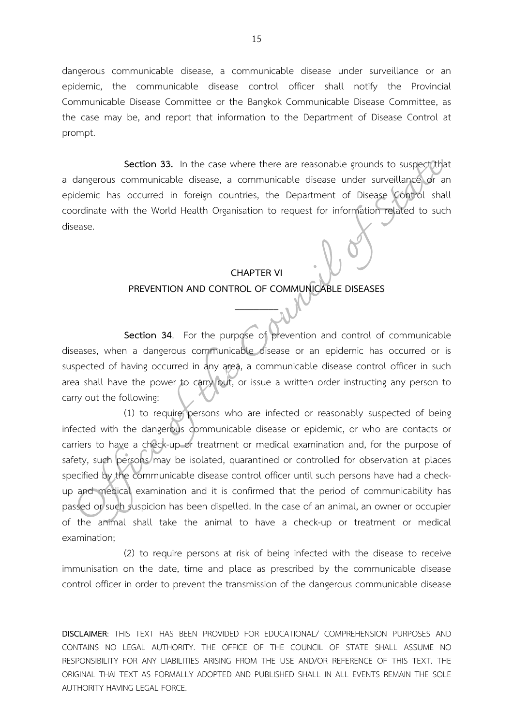dangerous communicable disease, a communicable disease under surveillance or an epidemic, the communicable disease control officer shall notify the Provincial Communicable Disease Committee or the Bangkok Communicable Disease Committee, as the case may be, and report that information to the Department of Disease Control at prompt.

**Section 33.** In the case where there are reasonable grounds to suspect that a dangerous communicable disease, a communicable disease under surveillance or an epidemic has occurred in foreign countries, the Department of Disease Control shall coordinate with the World Health Organisation to request for information related to such disease.

### **CHAPTER VI**

# **PREVENTION AND CONTROL OF COMMUNICABLE DISEASES**  $\overline{\phantom{a}}$

**Section 34**. For the purpose of prevention and control of communicable diseases, when a dangerous communicable disease or an epidemic has occurred or is suspected of having occurred in any area, a communicable disease control officer in such area shall have the power to carry out, or issue a written order instructing any person to carry out the following:

(1) to require persons who are infected or reasonably suspected of being infected with the dangerous communicable disease or epidemic, or who are contacts or carriers to have a check-up or treatment or medical examination and, for the purpose of safety, such persons may be isolated, quarantined or controlled for observation at places specified by the communicable disease control officer until such persons have had a checkup and medical examination and it is confirmed that the period of communicability has passed or such suspicion has been dispelled. In the case of an animal, an owner or occupier of the animal shall take the animal to have a check-up or treatment or medical examination;

(2) to require persons at risk of being infected with the disease to receive immunisation on the date, time and place as prescribed by the communicable disease control officer in order to prevent the transmission of the dangerous communicable disease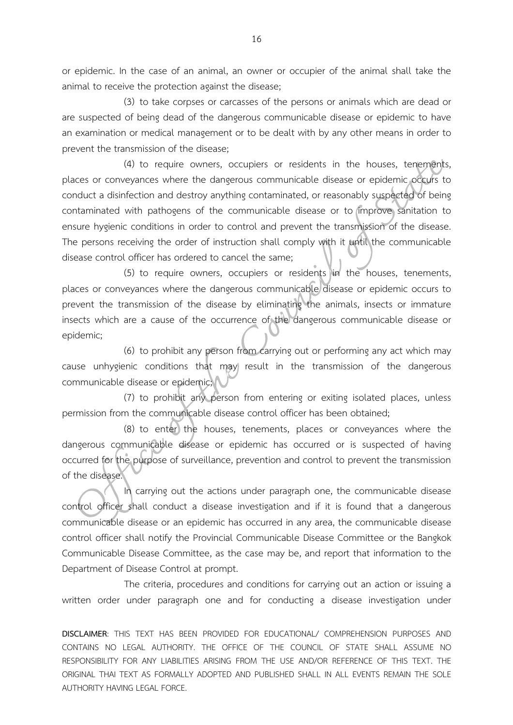or epidemic. In the case of an animal, an owner or occupier of the animal shall take the animal to receive the protection against the disease;

(3) to take corpses or carcasses of the persons or animals which are dead or are suspected of being dead of the dangerous communicable disease or epidemic to have an examination or medical management or to be dealt with by any other means in order to prevent the transmission of the disease;

(4) to require owners, occupiers or residents in the houses, tenements, places or conveyances where the dangerous communicable disease or epidemic occurs to conduct a disinfection and destroy anything contaminated, or reasonably suspected of being contaminated with pathogens of the communicable disease or to improve sanitation to ensure hygienic conditions in order to control and prevent the transmission of the disease. The persons receiving the order of instruction shall comply with it until the communicable disease control officer has ordered to cancel the same;

(5) to require owners, occupiers or residents in the houses, tenements, places or conveyances where the dangerous communicable disease or epidemic occurs to prevent the transmission of the disease by eliminating the animals, insects or immature insects which are a cause of the occurrence of the dangerous communicable disease or epidemic;

(6) to prohibit any person from carrying out or performing any act which may cause unhygienic conditions that may result in the transmission of the dangerous communicable disease or epidemic;

(7) to prohibit any person from entering or exiting isolated places, unless permission from the communicable disease control officer has been obtained;

(8) to enter the houses, tenements, places or conveyances where the dangerous communicable disease or epidemic has occurred or is suspected of having occurred for the purpose of surveillance, prevention and control to prevent the transmission of the disease.

In carrying out the actions under paragraph one, the communicable disease control officer shall conduct a disease investigation and if it is found that a dangerous communicable disease or an epidemic has occurred in any area, the communicable disease control officer shall notify the Provincial Communicable Disease Committee or the Bangkok Communicable Disease Committee, as the case may be, and report that information to the Department of Disease Control at prompt.

The criteria, procedures and conditions for carrying out an action or issuing a written order under paragraph one and for conducting a disease investigation under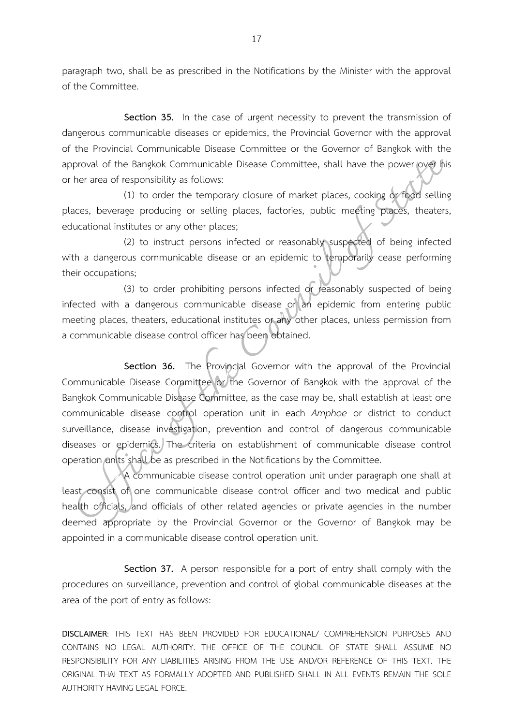paragraph two, shall be as prescribed in the Notifications by the Minister with the approval of the Committee.

**Section 35.** In the case of urgent necessity to prevent the transmission of dangerous communicable diseases or epidemics, the Provincial Governor with the approval of the Provincial Communicable Disease Committee or the Governor of Bangkok with the approval of the Bangkok Communicable Disease Committee, shall have the power (over his or her area of responsibility as follows:

(1) to order the temporary closure of market places, cooking or food selling places, beverage producing or selling places, factories, public meeting places, theaters, educational institutes or any other places;

(2) to instruct persons infected or reasonably suspected of being infected with a dangerous communicable disease or an epidemic to temporarily cease performing their occupations;

(3) to order prohibiting persons infected or reasonably suspected of being infected with a dangerous communicable disease or an epidemic from entering public meeting places, theaters, educational institutes or any other places, unless permission from a communicable disease control officer has been obtained.

Section 36. The Provincial Governor with the approval of the Provincial Communicable Disease Committee or the Governor of Bangkok with the approval of the Bangkok Communicable Disease Committee, as the case may be, shall establish at least one communicable disease control operation unit in each *Amphoe* or district to conduct surveillance, disease investigation, prevention and control of dangerous communicable diseases or epidemics. The criteria on establishment of communicable disease control operation units shall be as prescribed in the Notifications by the Committee.

A communicable disease control operation unit under paragraph one shall at least consist of one communicable disease control officer and two medical and public health officials, and officials of other related agencies or private agencies in the number deemed appropriate by the Provincial Governor or the Governor of Bangkok may be appointed in a communicable disease control operation unit.

**Section 37.** A person responsible for a port of entry shall comply with the procedures on surveillance, prevention and control of global communicable diseases at the area of the port of entry as follows: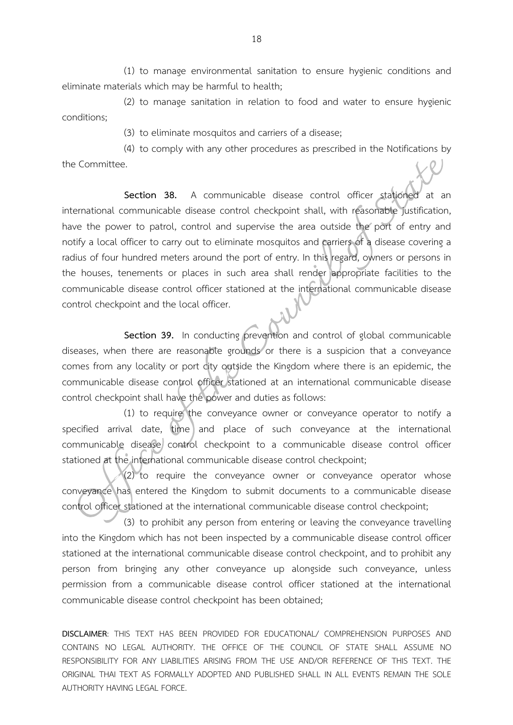(1) to manage environmental sanitation to ensure hygienic conditions and eliminate materials which may be harmful to health;

(2) to manage sanitation in relation to food and water to ensure hygienic conditions;

(3) to eliminate mosquitos and carriers of a disease;

(4) to comply with any other procedures as prescribed in the Notifications by the Committee.

**Section 38.** A communicable disease control officer stationed at an international communicable disease control checkpoint shall, with reasonable justification, have the power to patrol, control and supervise the area outside the port of entry and notify a local officer to carry out to eliminate mosquitos and carriers of a disease covering a radius of four hundred meters around the port of entry. In this regard, owners or persons in the houses, tenements or places in such area shall render appropriate facilities to the communicable disease control officer stationed at the international communicable disease control checkpoint and the local officer.

**Section 39.** In conducting prevention and control of global communicable diseases, when there are reasonable grounds or there is a suspicion that a conveyance comes from any locality or port city outside the Kingdom where there is an epidemic, the communicable disease control officer stationed at an international communicable disease control checkpoint shall have the power and duties as follows:

(1) to require the conveyance owner or conveyance operator to notify a specified arrival date, time and place of such conveyance at the international communicable disease control checkpoint to a communicable disease control officer stationed at the international communicable disease control checkpoint;

(2) to require the conveyance owner or conveyance operator whose conveyance has entered the Kingdom to submit documents to a communicable disease control officer stationed at the international communicable disease control checkpoint;

(3) to prohibit any person from entering or leaving the conveyance travelling into the Kingdom which has not been inspected by a communicable disease control officer stationed at the international communicable disease control checkpoint, and to prohibit any person from bringing any other conveyance up alongside such conveyance, unless permission from a communicable disease control officer stationed at the international communicable disease control checkpoint has been obtained;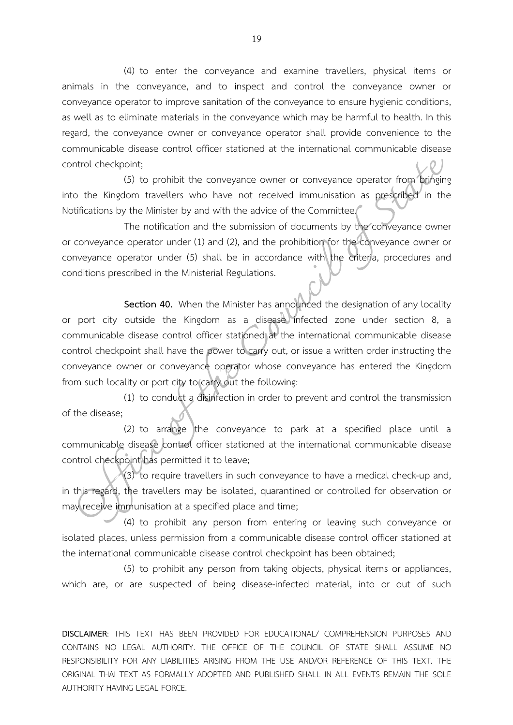(4) to enter the conveyance and examine travellers, physical items or animals in the conveyance, and to inspect and control the conveyance owner or conveyance operator to improve sanitation of the conveyance to ensure hygienic conditions, as well as to eliminate materials in the conveyance which may be harmful to health. In this regard, the conveyance owner or conveyance operator shall provide convenience to the communicable disease control officer stationed at the international communicable disease control checkpoint;

(5) to prohibit the conveyance owner or conveyance operator from bringing into the Kingdom travellers who have not received immunisation as prescribed in the Notifications by the Minister by and with the advice of the Committee.

The notification and the submission of documents by the conveyance owner or conveyance operator under (1) and (2), and the prohibition for the conveyance owner or conveyance operator under (5) shall be in accordance with the criteria, procedures and conditions prescribed in the Ministerial Regulations.

**Section 40.** When the Minister has announced the designation of any locality or port city outside the Kingdom as a disease infected zone under section 8, a communicable disease control officer stationed at the international communicable disease control checkpoint shall have the power to carry out, or issue a written order instructing the conveyance owner or conveyance operator whose conveyance has entered the Kingdom from such locality or port city to carry out the following:

(1) to conduct a disinfection in order to prevent and control the transmission of the disease;

(2) to arrange the conveyance to park at a specified place until a communicable disease control officer stationed at the international communicable disease control checkpoint has permitted it to leave;

(3) to require travellers in such conveyance to have a medical check-up and, in this regard, the travellers may be isolated, quarantined or controlled for observation or may receive immunisation at a specified place and time;

(4) to prohibit any person from entering or leaving such conveyance or isolated places, unless permission from a communicable disease control officer stationed at the international communicable disease control checkpoint has been obtained;

(5) to prohibit any person from taking objects, physical items or appliances, which are, or are suspected of being disease-infected material, into or out of such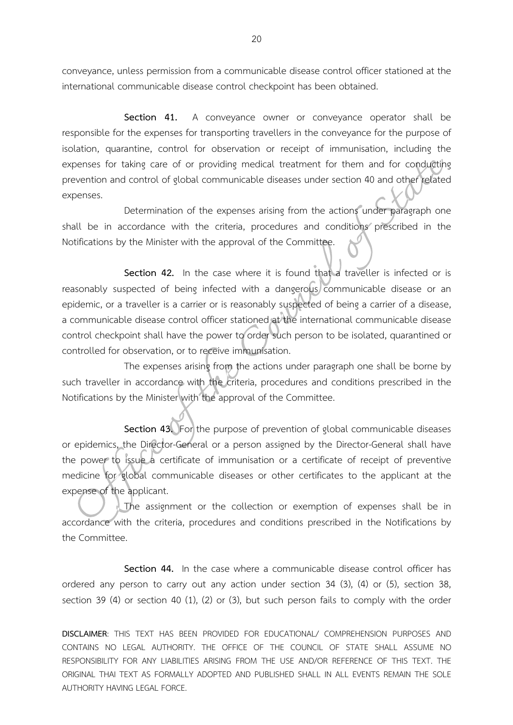conveyance, unless permission from a communicable disease control officer stationed at the international communicable disease control checkpoint has been obtained.

**Section 41.** A conveyance owner or conveyance operator shall be responsible for the expenses for transporting travellers in the conveyance for the purpose of isolation, quarantine, control for observation or receipt of immunisation, including the expenses for taking care of or providing medical treatment for them and for conducting prevention and control of global communicable diseases under section 40 and other related expenses.

Determination of the expenses arising from the actions under paragraph one shall be in accordance with the criteria, procedures and conditions prescribed in the Notifications by the Minister with the approval of the Committee.

**Section 42.** In the case where it is found that a traveller is infected or is reasonably suspected of being infected with a dangerous communicable disease or an epidemic, or a traveller is a carrier or is reasonably suspected of being a carrier of a disease, a communicable disease control officer stationed at the international communicable disease control checkpoint shall have the power to order such person to be isolated, quarantined or controlled for observation, or to receive immunisation.

The expenses arising from the actions under paragraph one shall be borne by such traveller in accordance with the criteria, procedures and conditions prescribed in the Notifications by the Minister with the approval of the Committee.

**Section 43.** For the purpose of prevention of global communicable diseases or epidemics, the Director-General or a person assigned by the Director-General shall have the power to issue a certificate of immunisation or a certificate of receipt of preventive medicine for global communicable diseases or other certificates to the applicant at the expense of the applicant.

The assignment or the collection or exemption of expenses shall be in accordance with the criteria, procedures and conditions prescribed in the Notifications by the Committee.

**Section 44.** In the case where a communicable disease control officer has ordered any person to carry out any action under section 34 (3), (4) or (5), section 38, section 39 (4) or section 40 (1), (2) or (3), but such person fails to comply with the order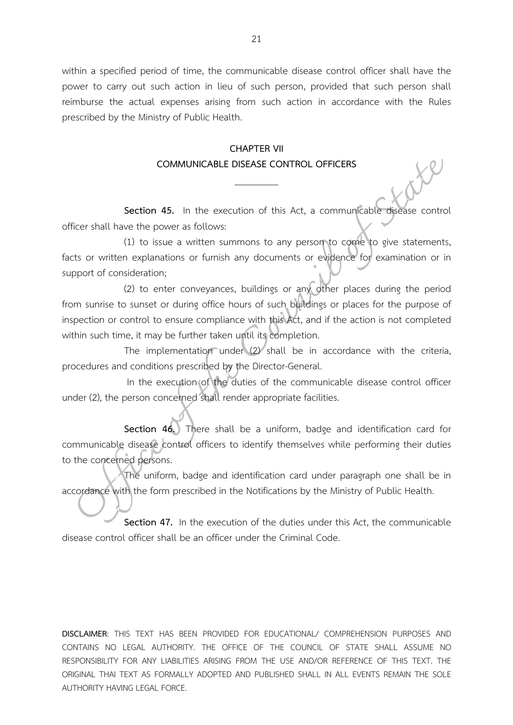within a specified period of time, the communicable disease control officer shall have the power to carry out such action in lieu of such person, provided that such person shall reimburse the actual expenses arising from such action in accordance with the Rules prescribed by the Ministry of Public Health.

## **CHAPTER VII COMMUNICABLE DISEASE CONTROL OFFICERS**

 $\overline{\phantom{a}}$ 

**Section 45.** In the execution of this Act, a communicable disease control officer shall have the power as follows:

(1) to issue a written summons to any person to come to give statements, facts or written explanations or furnish any documents or evidence for examination or in support of consideration;

(2) to enter conveyances, buildings or any other places during the period from sunrise to sunset or during office hours of such buildings or places for the purpose of inspection or control to ensure compliance with this Act, and if the action is not completed within such time, it may be further taken until its completion.

The implementation under (2) shall be in accordance with the criteria, procedures and conditions prescribed by the Director-General.

In the execution of the duties of the communicable disease control officer under (2), the person concerned shall render appropriate facilities.

**Section 46.** There shall be a uniform, badge and identification card for communicable disease control officers to identify themselves while performing their duties to the concerned persons.

The uniform, badge and identification card under paragraph one shall be in accordance with the form prescribed in the Notifications by the Ministry of Public Health.

**Section 47.** In the execution of the duties under this Act, the communicable disease control officer shall be an officer under the Criminal Code.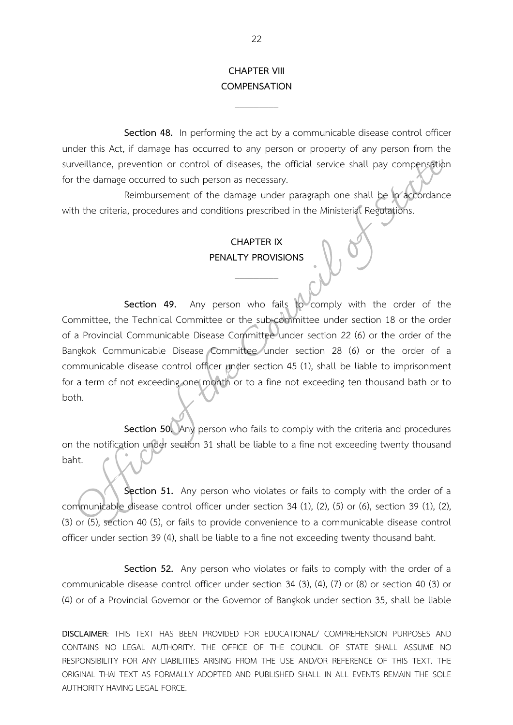## **CHAPTER VIII COMPENSATION**

 $\overline{\phantom{a}}$ 

**Section 48.** In performing the act by a communicable disease control officer under this Act, if damage has occurred to any person or property of any person from the surveillance, prevention or control of diseases, the official service shall pay compensation for the damage occurred to such person as necessary.

Reimbursement of the damage under paragraph one shall be in accordance with the criteria, procedures and conditions prescribed in the Ministerial Regulations.

### **CHAPTER IX PENALTY PROVISIONS**

 $\overline{\phantom{a}}$ 

**Section 49.** Any person who fails to comply with the order of the Committee, the Technical Committee or the sub-committee under section 18 or the order of a Provincial Communicable Disease Committee under section 22 (6) or the order of the Bangkok Communicable Disease Committee under section 28 (6) or the order of a communicable disease control officer under section 45 (1), shall be liable to imprisonment for a term of not exceeding one month or to a fine not exceeding ten thousand bath or to both.

**Section 50.** Any person who fails to comply with the criteria and procedures on the notification under section 31 shall be liable to a fine not exceeding twenty thousand baht.

**Section 51.** Any person who violates or fails to comply with the order of a communicable disease control officer under section 34 (1), (2), (5) or (6), section 39 (1), (2), (3) or (5), section 40 (5), or fails to provide convenience to a communicable disease control officer under section 39 (4), shall be liable to a fine not exceeding twenty thousand baht.

**Section 52.** Any person who violates or fails to comply with the order of a communicable disease control officer under section 34 (3), (4), (7) or (8) or section 40 (3) or (4) or of a Provincial Governor or the Governor of Bangkok under section 35, shall be liable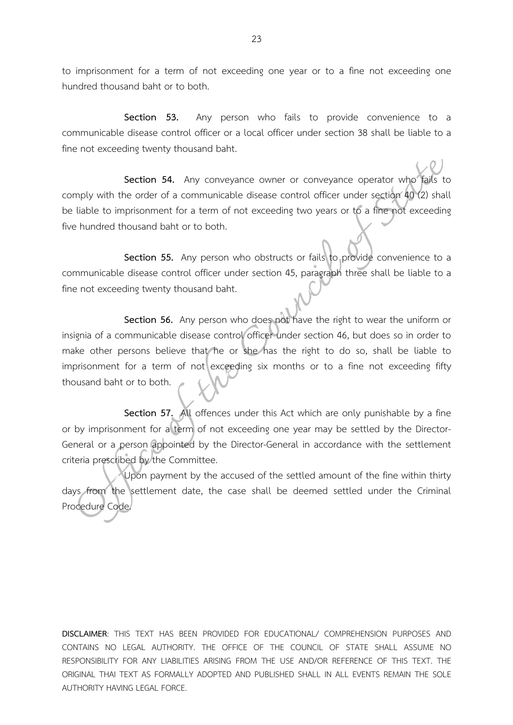to imprisonment for a term of not exceeding one year or to a fine not exceeding one hundred thousand baht or to both.

**Section 53.** Any person who fails to provide convenience to a communicable disease control officer or a local officer under section 38 shall be liable to a fine not exceeding twenty thousand baht.

**Section 54.** Any conveyance owner or conveyance operator who fails to comply with the order of a communicable disease control officer under section 40 (2) shall be liable to imprisonment for a term of not exceeding two years or to a fine not exceeding five hundred thousand baht or to both.

**Section 55.** Any person who obstructs or fails to provide convenience to a communicable disease control officer under section 45, paragraph three shall be liable to a fine not exceeding twenty thousand baht.

**Section 56.** Any person who does not have the right to wear the uniform or insignia of a communicable disease control officer under section 46, but does so in order to make other persons believe that he or she has the right to do so, shall be liable to imprisonment for a term of not exceeding six months or to a fine not exceeding fifty thousand baht or to both.

**Section 57.** All offences under this Act which are only punishable by a fine or by imprisonment for a term of not exceeding one year may be settled by the Director-General or a person appointed by the Director-General in accordance with the settlement criteria prescribed by the Committee.

Upon payment by the accused of the settled amount of the fine within thirty days from the settlement date, the case shall be deemed settled under the Criminal Procedure Code.